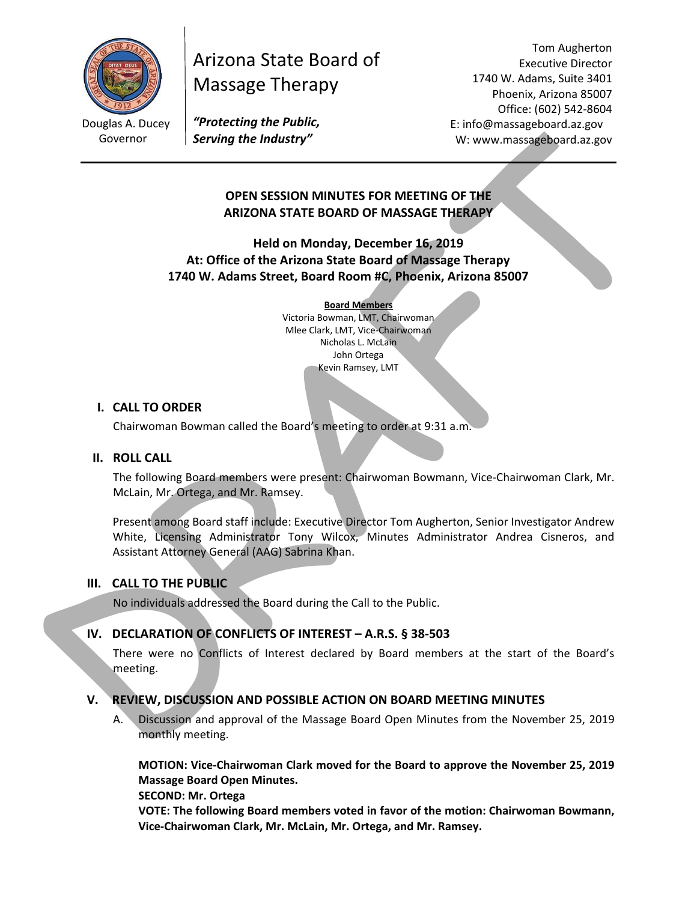

# Arizona State Board of Massage Therapy

Tom Augherton Executive Director 1740 W. Adams, Suite 3401 Phoenix, Arizona 85007 Office: (602) 542‐8604 E: info@massageboard.az.gov W: www.massageboard.az.gov

 Douglas A. Ducey *"Protecting the Public,*  Governor *Serving the Industry"* 

## **OPEN SESSION MINUTES FOR MEETING OF THE ARIZONA STATE BOARD OF MASSAGE THERAPY**

**Held on Monday, December 16, 2019 At: Office of the Arizona State Board of Massage Therapy 1740 W. Adams Street, Board Room #C, Phoenix, Arizona 85007** 

#### **Board Members**

Victoria Bowman, LMT, Chairwoman Mlee Clark, LMT, Vice‐Chairwoman Nicholas L. McLain John Ortega Kevin Ramsey, LMT

## **I. CALL TO ORDER**

Chairwoman Bowman called the Board's meeting to order at 9:31 a.m.

#### **II. ROLL CALL**

The following Board members were present: Chairwoman Bowmann, Vice‐Chairwoman Clark, Mr. McLain, Mr. Ortega, and Mr. Ramsey.

Present among Board staff include: Executive Director Tom Augherton, Senior Investigator Andrew White, Licensing Administrator Tony Wilcox, Minutes Administrator Andrea Cisneros, and Assistant Attorney General (AAG) Sabrina Khan. Coverior Serving the industry"<br>
Coverior Serving the industry"<br>
OPEN SESSION MINUTES FOR MEETING OF THE<br>
ARIZONA STATE BOARD OF MASSAGE THERAPY<br>
Held on Monday, December 16, 2019<br>
ALCORA STATE BOARD OF MASSAGE THERAPY<br>
Hel

## **III. CALL TO THE PUBLIC**

No individuals addressed the Board during the Call to the Public.

## IV. DECLARATION OF CONFLICTS OF INTEREST – A.R.S. § 38-503

There were no Conflicts of Interest declared by Board members at the start of the Board's meeting.

## **V. REVIEW, DISCUSSION AND POSSIBLE ACTION ON BOARD MEETING MINUTES**

A. Discussion and approval of the Massage Board Open Minutes from the November 25, 2019 monthly meeting.

**MOTION: Vice‐Chairwoman Clark moved for the Board to approve the November 25, 2019 Massage Board Open Minutes.** 

**SECOND: Mr. Ortega** 

**VOTE: The following Board members voted in favor of the motion: Chairwoman Bowmann, Vice‐Chairwoman Clark, Mr. McLain, Mr. Ortega, and Mr. Ramsey.**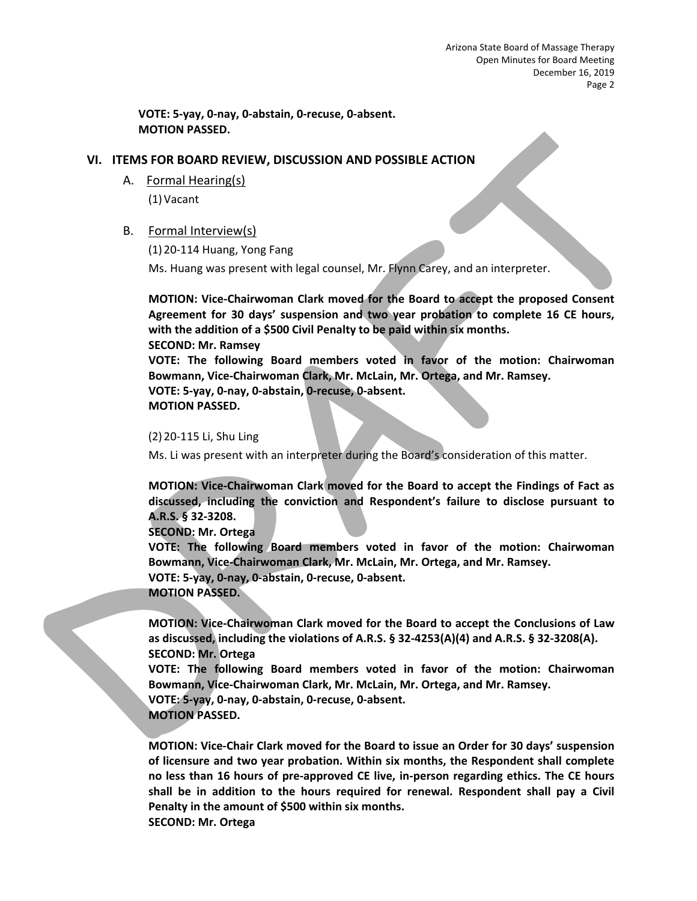**VOTE: 5‐yay, 0‐nay, 0‐abstain, 0‐recuse, 0‐absent. MOTION PASSED.** 

#### **VI. ITEMS FOR BOARD REVIEW, DISCUSSION AND POSSIBLE ACTION**

A. Formal Hearing(s)

(1) Vacant

#### B. Formal Interview(s)

(1) 20‐114 Huang, Yong Fang

Ms. Huang was present with legal counsel, Mr. Flynn Carey, and an interpreter.

**MOTION: Vice‐Chairwoman Clark moved for the Board to accept the proposed Consent Agreement for 30 days' suspension and two year probation to complete 16 CE hours, with the addition of a \$500 Civil Penalty to be paid within six months. SECOND: Mr. Ramsey VOTE: The following Board members voted in favor of the motion: Chairwoman Bowmann, Vice‐Chairwoman Clark, Mr. McLain, Mr. Ortega, and Mr. Ramsey. VOTE: 5‐yay, 0‐nay, 0‐abstain, 0‐recuse, 0‐absent. MOTION PASSED.**  MOTION PASSED.<br>
(1) Vacanti<br>
A. <u>Formal Hereingite</u>]<br>
(1) Vacanti<br>
(1) Vacanti<br>
(1) Vacanti<br>
(1) Vacanti<br>
(1) Vacanti<br>
(1) Vacanti<br>
(1) Vacanti<br>
(1) Vacanti<br>
(1) Vacanti<br>
(1) Vacanti<br>
(1) Vacanti<br>
(1) Vacanti<br>
(1) Vacanti<br>

#### (2) 20‐115 Li, Shu Ling

Ms. Li was present with an interpreter during the Board's consideration of this matter.

**MOTION: Vice‐Chairwoman Clark moved for the Board to accept the Findings of Fact as discussed, including the conviction and Respondent's failure to disclose pursuant to A.R.S. § 32‐3208.** 

**SECOND: Mr. Ortega** 

**VOTE: The following Board members voted in favor of the motion: Chairwoman Bowmann, Vice‐Chairwoman Clark, Mr. McLain, Mr. Ortega, and Mr. Ramsey.** 

**VOTE: 5‐yay, 0‐nay, 0‐abstain, 0‐recuse, 0‐absent. MOTION PASSED.** 

**MOTION: Vice‐Chairwoman Clark moved for the Board to accept the Conclusions of Law as discussed, including the violations of A.R.S. § 32‐4253(A)(4) and A.R.S. § 32‐3208(A). SECOND: Mr. Ortega** 

**VOTE: The following Board members voted in favor of the motion: Chairwoman Bowmann, Vice‐Chairwoman Clark, Mr. McLain, Mr. Ortega, and Mr. Ramsey. VOTE: 5‐yay, 0‐nay, 0‐abstain, 0‐recuse, 0‐absent. MOTION PASSED.** 

**MOTION: Vice‐Chair Clark moved for the Board to issue an Order for 30 days' suspension of licensure and two year probation. Within six months, the Respondent shall complete no less than 16 hours of pre‐approved CE live, in‐person regarding ethics. The CE hours shall be in addition to the hours required for renewal. Respondent shall pay a Civil Penalty in the amount of \$500 within six months. SECOND: Mr. Ortega**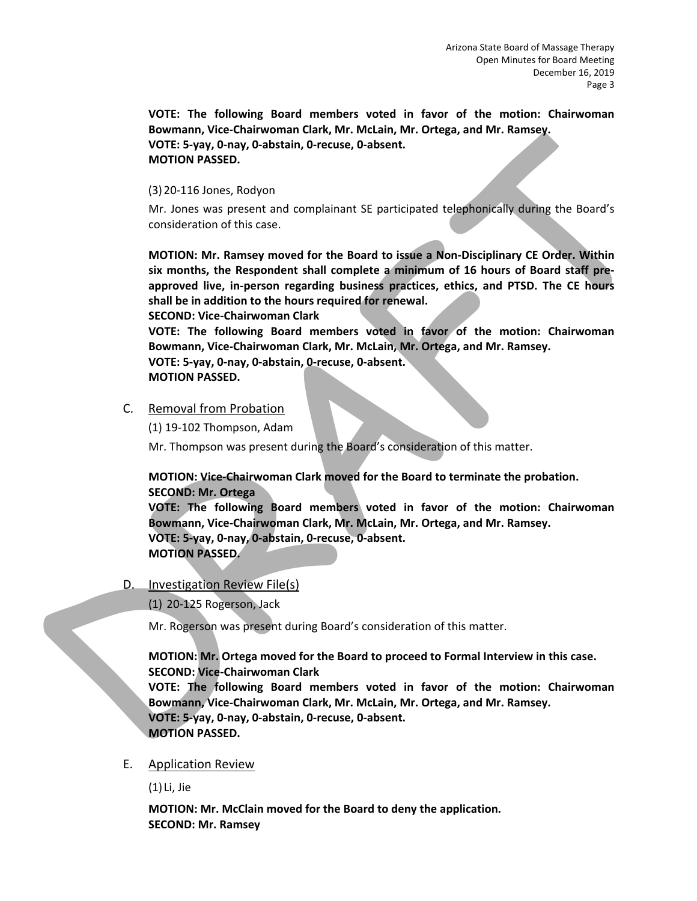**VOTE: The following Board members voted in favor of the motion: Chairwoman Bowmann, Vice‐Chairwoman Clark, Mr. McLain, Mr. Ortega, and Mr. Ramsey. VOTE: 5‐yay, 0‐nay, 0‐abstain, 0‐recuse, 0‐absent. MOTION PASSED.** 

#### (3) 20‐116 Jones, Rodyon

Mr. Jones was present and complainant SE participated telephonically during the Board's consideration of this case.

**MOTION: Mr. Ramsey moved for the Board to issue a Non‐Disciplinary CE Order. Within six months, the Respondent shall complete a minimum of 16 hours of Board staff pre‐ approved live, in‐person regarding business practices, ethics, and PTSD. The CE hours shall be in addition to the hours required for renewal.**  Bowmann, Vice-Chairwoman Clark, Mr. McLiain, Mr. Ortega, and Mr. Ramsey.<br>
VOTTE: 5-yay, 0-nay, 0-abstain, 0-recuse, 0-absent.<br>
(MOTION PASSED.<br>
(2)20-156 iones, Redoven and complainant SF participated telephony clique the

**SECOND: Vice‐Chairwoman Clark** 

**VOTE: The following Board members voted in favor of the motion: Chairwoman Bowmann, Vice‐Chairwoman Clark, Mr. McLain, Mr. Ortega, and Mr. Ramsey.** 

**VOTE: 5‐yay, 0‐nay, 0‐abstain, 0‐recuse, 0‐absent.** 

**MOTION PASSED.** 

## C. Removal from Probation

(1) 19‐102 Thompson, Adam

Mr. Thompson was present during the Board's consideration of this matter.

**MOTION: Vice‐Chairwoman Clark moved for the Board to terminate the probation. SECOND: Mr. Ortega** 

**VOTE: The following Board members voted in favor of the motion: Chairwoman Bowmann, Vice‐Chairwoman Clark, Mr. McLain, Mr. Ortega, and Mr. Ramsey. VOTE: 5‐yay, 0‐nay, 0‐abstain, 0‐recuse, 0‐absent. MOTION PASSED.** 

D. Investigation Review File(s)

(1) 20‐125 Rogerson, Jack

Mr. Rogerson was present during Board's consideration of this matter.

## **MOTION: Mr. Ortega moved for the Board to proceed to Formal Interview in this case. SECOND: Vice‐Chairwoman Clark**

**VOTE: The following Board members voted in favor of the motion: Chairwoman Bowmann, Vice‐Chairwoman Clark, Mr. McLain, Mr. Ortega, and Mr. Ramsey. VOTE: 5‐yay, 0‐nay, 0‐abstain, 0‐recuse, 0‐absent. MOTION PASSED.** 

## E. Application Review

(1) Li, Jie

**MOTION: Mr. McClain moved for the Board to deny the application. SECOND: Mr. Ramsey**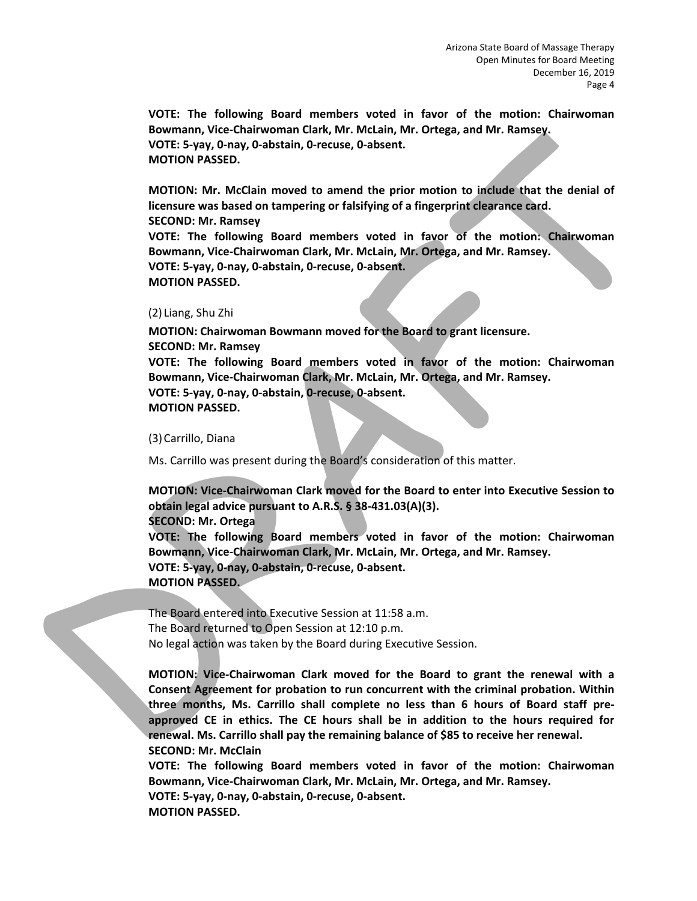**VOTE: The following Board members voted in favor of the motion: Chairwoman Bowmann, Vice‐Chairwoman Clark, Mr. McLain, Mr. Ortega, and Mr. Ramsey. VOTE: 5‐yay, 0‐nay, 0‐abstain, 0‐recuse, 0‐absent. MOTION PASSED.** 

**MOTION: Mr. McClain moved to amend the prior motion to include that the denial of licensure was based on tampering or falsifying of a fingerprint clearance card. SECOND: Mr. Ramsey VOTE: The following Board members voted in favor of the motion: Chairwoman Bowmann, Vice‐Chairwoman Clark, Mr. McLain, Mr. Ortega, and Mr. Ramsey. VOTE: 5‐yay, 0‐nay, 0‐abstain, 0‐recuse, 0‐absent. MOTION PASSED.**  Bowmann, Vice-Chairwoman Clark, Mr. Mctain, Mr. Ortega, and Mr. Ramsey.<br>
WOTIC: S-yay, 0-nay, 0-abstain, 0-recuse, 0-absent.<br>
MOTION PASSED.<br>
MOTION PASSED.<br>
MOTION PASSED.<br>
MOTION PASSED.<br>
MOTION PASSED.<br>
MOTION PASSED.<br>

#### (2) Liang, Shu Zhi

**MOTION: Chairwoman Bowmann moved for the Board to grant licensure. SECOND: Mr. Ramsey VOTE: The following Board members voted in favor of the motion: Chairwoman Bowmann, Vice‐Chairwoman Clark, Mr. McLain, Mr. Ortega, and Mr. Ramsey. VOTE: 5‐yay, 0‐nay, 0‐abstain, 0‐recuse, 0‐absent. MOTION PASSED.** 

(3)Carrillo, Diana

Ms. Carrillo was present during the Board's consideration of this matter.

**MOTION: Vice‐Chairwoman Clark moved for the Board to enter into Executive Session to obtain legal advice pursuant to A.R.S. § 38‐431.03(A)(3).** 

**SECOND: Mr. Ortega** 

**VOTE: The following Board members voted in favor of the motion: Chairwoman Bowmann, Vice‐Chairwoman Clark, Mr. McLain, Mr. Ortega, and Mr. Ramsey. VOTE: 5‐yay, 0‐nay, 0‐abstain, 0‐recuse, 0‐absent. MOTION PASSED.** 

The Board entered into Executive Session at 11:58 a.m. The Board returned to Open Session at 12:10 p.m. No legal action was taken by the Board during Executive Session.

**MOTION: Vice‐Chairwoman Clark moved for the Board to grant the renewal with a Consent Agreement for probation to run concurrent with the criminal probation. Within three months, Ms. Carrillo shall complete no less than 6 hours of Board staff pre‐ approved CE in ethics. The CE hours shall be in addition to the hours required for renewal. Ms. Carrillo shall pay the remaining balance of \$85 to receive her renewal. SECOND: Mr. McClain** 

**VOTE: The following Board members voted in favor of the motion: Chairwoman Bowmann, Vice‐Chairwoman Clark, Mr. McLain, Mr. Ortega, and Mr. Ramsey.** 

**VOTE: 5‐yay, 0‐nay, 0‐abstain, 0‐recuse, 0‐absent. MOTION PASSED.**